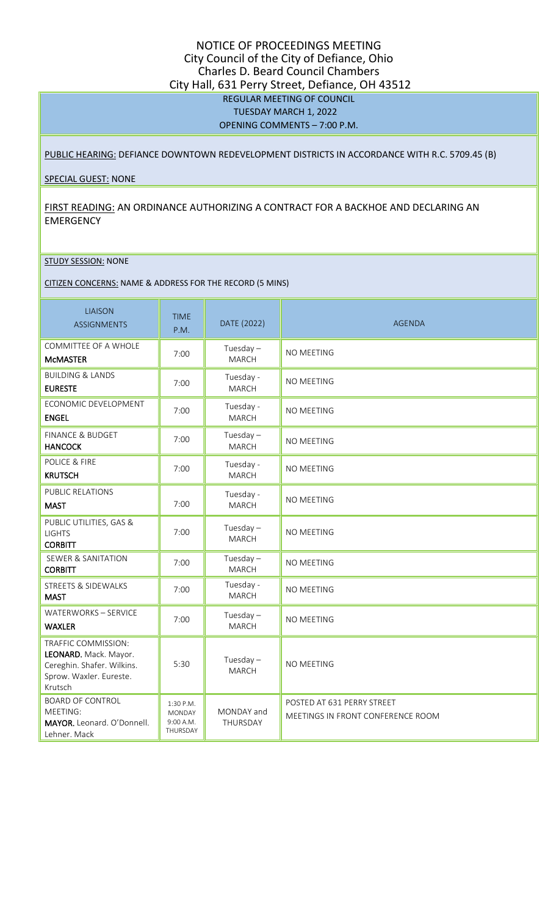# NOTICE OF PROCEEDINGS MEETING City Council of the City of Defiance, Ohio Charles D. Beard Council Chambers City Hall, 631 Perry Street, Defiance, OH 43512 REGULAR MEETING OF COUNCIL TUESDAY MARCH 1, 2022 OPENING COMMENTS – 7:00 P.M.

### PUBLIC HEARING: DEFIANCE DOWNTOWN REDEVELOPMENT DISTRICTS IN ACCORDANCE WITH R.C. 5709.45 (B)

#### SPECIAL GUEST: NONE

## FIRST READING: AN ORDINANCE AUTHORIZING A CONTRACT FOR A BACKHOE AND DECLARING AN EMERGENCY

#### STUDY SESSION: NONE

#### CITIZEN CONCERNS: NAME & ADDRESS FOR THE RECORD (5 MINS)

| <b>LIAISON</b><br><b>ASSIGNMENTS</b>                                                                             | <b>TIME</b><br>P.M.                                 | DATE (2022)                 | <b>AGENDA</b>                                                   |
|------------------------------------------------------------------------------------------------------------------|-----------------------------------------------------|-----------------------------|-----------------------------------------------------------------|
| COMMITTEE OF A WHOLE<br><b>MCMASTER</b>                                                                          | 7:00                                                | Tuesday $-$<br><b>MARCH</b> | <b>NO MEETING</b>                                               |
| <b>BUILDING &amp; LANDS</b><br><b>EURESTE</b>                                                                    | 7:00                                                | Tuesday -<br><b>MARCH</b>   | NO MEETING                                                      |
| ECONOMIC DEVELOPMENT<br><b>ENGEL</b>                                                                             | 7:00                                                | Tuesday -<br><b>MARCH</b>   | <b>NO MEETING</b>                                               |
| <b>FINANCE &amp; BUDGET</b><br><b>HANCOCK</b>                                                                    | 7:00                                                | Tuesday $-$<br><b>MARCH</b> | NO MEETING                                                      |
| POLICE & FIRE<br><b>KRUTSCH</b>                                                                                  | 7:00                                                | Tuesday -<br><b>MARCH</b>   | NO MEETING                                                      |
| PUBLIC RELATIONS<br><b>MAST</b>                                                                                  | 7:00                                                | Tuesday -<br><b>MARCH</b>   | NO MEETING                                                      |
| PUBLIC UTILITIES, GAS &<br><b>LIGHTS</b><br><b>CORBITT</b>                                                       | 7:00                                                | Tuesday $-$<br><b>MARCH</b> | NO MEETING                                                      |
| <b>SEWER &amp; SANITATION</b><br><b>CORBITT</b>                                                                  | 7:00                                                | Tuesday $-$<br>MARCH        | NO MEETING                                                      |
| STREETS & SIDEWALKS<br><b>MAST</b>                                                                               | 7:00                                                | Tuesday -<br>MARCH          | NO MEETING                                                      |
| WATERWORKS - SERVICE<br><b>WAXLER</b>                                                                            | 7:00                                                | Tuesday $-$<br><b>MARCH</b> | NO MEETING                                                      |
| TRAFFIC COMMISSION:<br>LEONARD. Mack. Mayor.<br>Cereghin. Shafer. Wilkins.<br>Sprow. Waxler. Eureste.<br>Krutsch | 5:30                                                | Tuesday $-$<br><b>MARCH</b> | NO MEETING                                                      |
| <b>BOARD OF CONTROL</b><br>MEETING:<br>MAYOR. Leonard. O'Donnell.<br>Lehner. Mack                                | 1:30 P.M.<br><b>MONDAY</b><br>9:00 A.M.<br>THURSDAY | MONDAY and<br>THURSDAY      | POSTED AT 631 PERRY STREET<br>MEETINGS IN FRONT CONFERENCE ROOM |